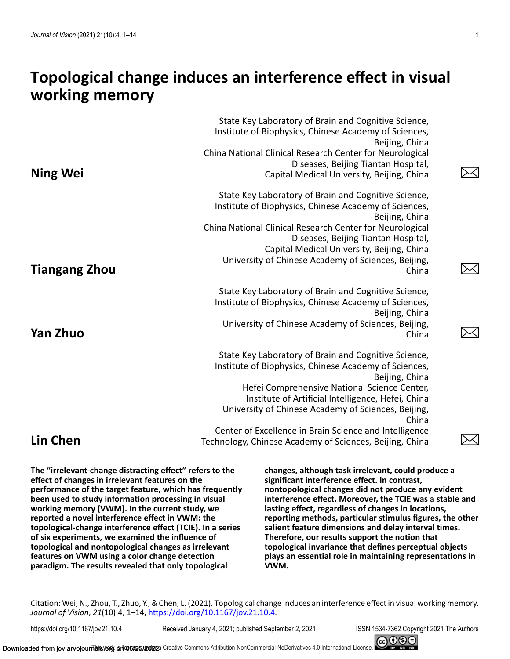# **Topological change induces an interference effect in visual working memory**

|                      | State Key Laboratory of Brain and Cognitive Science,<br>Institute of Biophysics, Chinese Academy of Sciences,<br>Beijing, China<br>China National Clinical Research Center for Neurological                                                                                                                                                      |  |
|----------------------|--------------------------------------------------------------------------------------------------------------------------------------------------------------------------------------------------------------------------------------------------------------------------------------------------------------------------------------------------|--|
| <b>Ning Wei</b>      | Diseases, Beijing Tiantan Hospital,<br>Capital Medical University, Beijing, China                                                                                                                                                                                                                                                                |  |
| <b>Tiangang Zhou</b> | State Key Laboratory of Brain and Cognitive Science,<br>Institute of Biophysics, Chinese Academy of Sciences,<br>Beijing, China<br>China National Clinical Research Center for Neurological<br>Diseases, Beijing Tiantan Hospital,<br>Capital Medical University, Beijing, China<br>University of Chinese Academy of Sciences, Beijing,<br>China |  |
| <b>Yan Zhuo</b>      | State Key Laboratory of Brain and Cognitive Science,<br>Institute of Biophysics, Chinese Academy of Sciences,<br>Beijing, China<br>University of Chinese Academy of Sciences, Beijing,<br>China                                                                                                                                                  |  |
|                      | State Key Laboratory of Brain and Cognitive Science,<br>Institute of Biophysics, Chinese Academy of Sciences,<br>Beijing, China<br>Hefei Comprehensive National Science Center,<br>Institute of Artificial Intelligence, Hefei, China<br>University of Chinese Academy of Sciences, Beijing,<br>China                                            |  |
| <b>Lin Chen</b>      | Center of Excellence in Brain Science and Intelligence<br>Technology, Chinese Academy of Sciences, Beijing, China                                                                                                                                                                                                                                |  |

**The "irrelevant-change distracting effect" refers to the effect of changes in irrelevant features on the performance of the target feature, which has frequently been used to study information processing in visual working memory (VWM). In the current study, we reported a novel interference effect in VWM: the topological-change interference effect (TCIE). In a series of six experiments, we examined the influence of topological and nontopological changes as irrelevant features on VWM using a color change detection paradigm. The results revealed that only topological**

**changes, although task irrelevant, could produce a significant interference effect. In contrast, nontopological changes did not produce any evident interference effect. Moreover, the TCIE was a stable and lasting effect, regardless of changes in locations, reporting methods, particular stimulus figures, the other salient feature dimensions and delay interval times. Therefore, our results support the notion that topological invariance that defines perceptual objects plays an essential role in maintaining representations in VWM.**

Citation: Wei, N., Zhou, T., Zhuo, Y., & Chen, L. (2021). Topological change induces an interference effect in visual working memory. *Journal of Vision*, *21*(10):4, 1–14, [https://doi.org/10.1167/jov.21.10.4.](https://doi.org/10.1167/jov.21.10.4)

https://doi.org/10.1167/jov.21.10.4 Received January 4, 2021; published September 2, 2021 ISSN 1534-7362 Copyright 2021 The Authors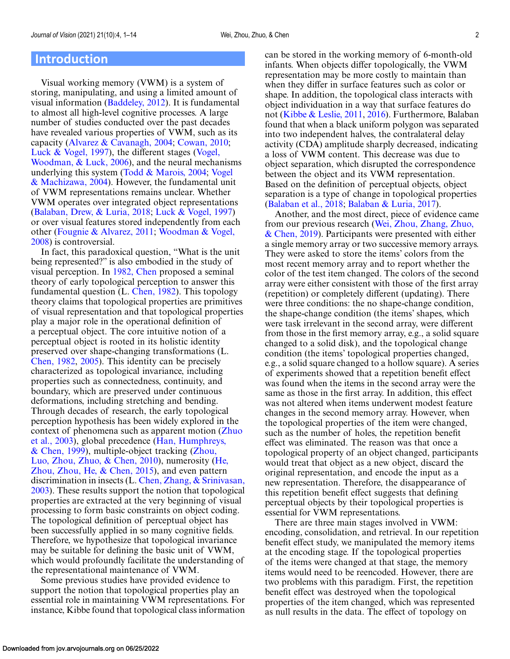### **Introduction**

Visual working memory (VWM) is a system of storing, manipulating, and using a limited amount of visual information [\(Baddeley, 2012\)](#page-12-0). It is fundamental to almost all high-level cognitive processes. A large number of studies conducted over the past decades have revealed various properties of VWM, such as its capacity [\(Alvarez & Cavanagh, 2004;](#page-11-0) [Cowan, 2010;](#page-12-0) [Luck & Vogel, 1997\)](#page-13-0), the different stages (Vogel, [Woodman, & Luck, 2006\), and the neural mechan](#page-13-0)isms underlying this system [\(Todd & Marois, 2004;](#page-13-0) Vogel [& Machizawa, 2004\). However, the fundamental unit](#page-13-0) of VWM representations remains unclear. Whether VWM operates over integrated object representations [\(Balaban, Drew, & Luria, 2018;](#page-12-0) [Luck & Vogel, 1997\)](#page-13-0) or over visual features stored independently from each [other \(](#page-13-0)[Fougnie & Alvarez, 2011](#page-12-0)[;](#page-13-0) Woodman & Vogel, 2008) is controversial.

In fact, this paradoxical question, "What is the unit being represented?" is also embodied in the study of visual perception. In [1982, Chen](#page-12-0) proposed a seminal theory of early topological perception to answer this fundamental question (L. [Chen, 1982\)](#page-12-0). This topology theory claims that topological properties are primitives of visual representation and that topological properties play a major role in the operational definition of a perceptual object. The core intuitive notion of a perceptual object is rooted in its holistic identity preserved over shape-changing transformations (L. [Chen, 1982,](#page-12-0) [2005\)](#page-12-0). This identity can be precisely characterized as topological invariance, including properties such as connectedness, continuity, and boundary, which are preserved under continuous deformations, including stretching and bending. Through decades of research, the early topological perception hypothesis has been widely explored in the [context of phenomena such as apparent motion \(Zhuo](#page-13-0) [et al., 2003\), global precedence \(Han, Humphreys,](#page-12-0) & Chen, 1999), multiple-object tracking (Zhou, [Luo, Zhou, Zhuo, & Chen, 2010\), numerosity \(](#page-13-0)[He,](#page-12-0) Zhou, Zhou, He, & Chen, 2015), and even pattern discrimination in insects (L. Chen, Zhang, & Srinivasan, [2003\). These results support the notion that topological](#page-12-0) properties are extracted at the very beginning of visual processing to form basic constraints on object coding. The topological definition of perceptual object has been successfully applied in so many cognitive fields. Therefore, we hypothesize that topological invariance may be suitable for defining the basic unit of VWM, which would profoundly facilitate the understanding of the representational maintenance of VWM.

Some previous studies have provided evidence to support the notion that topological properties play an essential role in maintaining VWM representations. For instance, Kibbe found that topological class information can be stored in the working memory of 6-month-old infants. When objects differ topologically, the VWM representation may be more costly to maintain than when they differ in surface features such as color or shape. In addition, the topological class interacts with object individuation in a way that surface features do not [\(Kibbe & Leslie, 2011,](#page-12-0) [2016\)](#page-12-0). Furthermore, Balaban found that when a black uniform polygon was separated into two independent halves, the contralateral delay activity (CDA) amplitude sharply decreased, indicating a loss of VWM content. This decrease was due to object separation, which disrupted the correspondence between the object and its VWM representation. Based on the definition of perceptual objects, object separation is a type of change in topological properties [\(Balaban et al., 2018;](#page-12-0) [Balaban & Luria, 2017\)](#page-12-0).

Another, and the most direct, piece of evidence came from our previous research (Wei, Zhou, Zhang, Zhuo,  $\&$  Chen, 2019). Participants were presented with either a single memory array or two successive memory arrays. They were asked to store the items' colors from the most recent memory array and to report whether the color of the test item changed. The colors of the second array were either consistent with those of the first array (repetition) or completely different (updating). There were three conditions: the no shape-change condition, the shape-change condition (the items' shapes, which were task irrelevant in the second array, were different from those in the first memory array, e.g., a solid square changed to a solid disk), and the topological change condition (the items' topological properties changed, e.g., a solid square changed to a hollow square). A series of experiments showed that a repetition benefit effect was found when the items in the second array were the same as those in the first array. In addition, this effect was not altered when items underwent modest feature changes in the second memory array. However, when the topological properties of the item were changed, such as the number of holes, the repetition benefit effect was eliminated. The reason was that once a topological property of an object changed, participants would treat that object as a new object, discard the original representation, and encode the input as a new representation. Therefore, the disappearance of this repetition benefit effect suggests that defining perceptual objects by their topological properties is essential for VWM representations.

There are three main stages involved in VWM: encoding, consolidation, and retrieval. In our repetition benefit effect study, we manipulated the memory items at the encoding stage. If the topological properties of the items were changed at that stage, the memory items would need to be reencoded. However, there are two problems with this paradigm. First, the repetition benefit effect was destroyed when the topological properties of the item changed, which was represented as null results in the data. The effect of topology on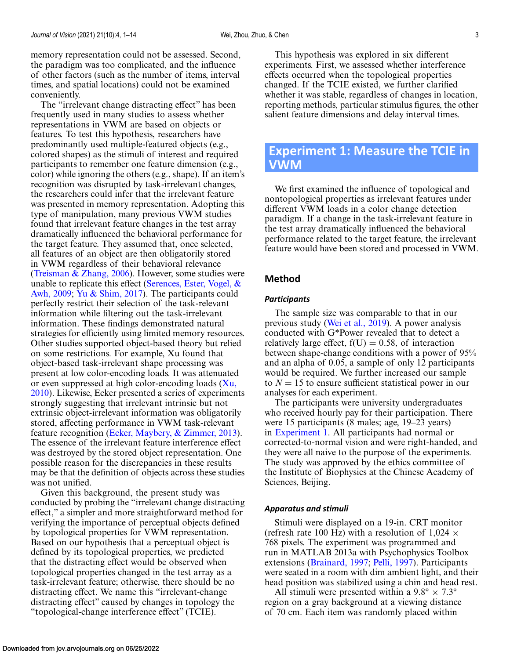<span id="page-2-0"></span>memory representation could not be assessed. Second, the paradigm was too complicated, and the influence of other factors (such as the number of items, interval times, and spatial locations) could not be examined conveniently.

The "irrelevant change distracting effect" has been frequently used in many studies to assess whether representations in VWM are based on objects or features. To test this hypothesis, researchers have predominantly used multiple-featured objects (e.g., colored shapes) as the stimuli of interest and required participants to remember one feature dimension (e.g., color) while ignoring the others (e.g., shape). If an item's recognition was disrupted by task-irrelevant changes, the researchers could infer that the irrelevant feature was presented in memory representation. Adopting this type of manipulation, many previous VWM studies found that irrelevant feature changes in the test array dramatically influenced the behavioral performance for the target feature. They assumed that, once selected, all features of an object are then obligatorily stored in VWM regardless of their behavioral relevance [\(Treisman & Zhang, 2006\)](#page-13-0). However, some studies were [unable to replicate this effect \(Serences, Ester, Vogel, &](#page-13-0) Awh, 2009; [Yu & Shim, 2017\)](#page-13-0). The participants could perfectly restrict their selection of the task-relevant information while filtering out the task-irrelevant information. These findings demonstrated natural strategies for efficiently using limited memory resources. Other studies supported object-based theory but relied on some restrictions. For example, Xu found that object-based task-irrelevant shape processing was present at low color-encoding loads. It was attenuated or even suppressed at high color-encoding loads  $(Xu,$ [2010\). Likewise, Ecker presented a series of experimen](#page-13-0)ts strongly suggesting that irrelevant intrinsic but not extrinsic object-irrelevant information was obligatorily stored, affecting performance in VWM task-relevant feature recognition [\(Ecker, Maybery, & Zimmer, 2013\)](#page-12-0). The essence of the irrelevant feature interference effect was destroyed by the stored object representation. One possible reason for the discrepancies in these results may be that the definition of objects across these studies was not unified.

Given this background, the present study was conducted by probing the "irrelevant change distracting effect," a simpler and more straightforward method for verifying the importance of perceptual objects defined by topological properties for VWM representation. Based on our hypothesis that a perceptual object is defined by its topological properties, we predicted that the distracting effect would be observed when topological properties changed in the test array as a task-irrelevant feature; otherwise, there should be no distracting effect. We name this "irrelevant-change distracting effect" caused by changes in topology the "topological-change interference effect" (TCIE).

This hypothesis was explored in six different experiments. First, we assessed whether interference effects occurred when the topological properties changed. If the TCIE existed, we further clarified whether it was stable, regardless of changes in location, reporting methods, particular stimulus figures, the other salient feature dimensions and delay interval times.

## **Experiment 1: Measure the TCIE in VWM**

We first examined the influence of topological and nontopological properties as irrelevant features under different VWM loads in a color change detection paradigm. If a change in the task-irrelevant feature in the test array dramatically influenced the behavioral performance related to the target feature, the irrelevant feature would have been stored and processed in VWM.

### **Method**

#### *Participants*

The sample size was comparable to that in our previous study [\(Wei et al., 2019\)](#page-13-0). A power analysis conducted with G\*Power revealed that to detect a relatively large effect,  $f(U) = 0.58$ , of interaction between shape-change conditions with a power of 95% and an alpha of 0.05, a sample of only 12 participants would be required. We further increased our sample to  $N = 15$  to ensure sufficient statistical power in our analyses for each experiment.

The participants were university undergraduates who received hourly pay for their participation. There were 15 participants (8 males; age, 19–23 years) in Experiment 1. All participants had normal or corrected-to-normal vision and were right-handed, and they were all naive to the purpose of the experiments. The study was approved by the ethics committee of the Institute of Biophysics at the Chinese Academy of Sciences, Beijing.

#### *Apparatus and stimuli*

Stimuli were displayed on a 19-in. CRT monitor (refresh rate 100 Hz) with a resolution of  $1,024 \times$ 768 pixels. The experiment was programmed and run in MATLAB 2013a with Psychophysics Toolbox extensions [\(Brainard, 1997;](#page-12-0) [Pelli, 1997\)](#page-13-0). Participants were seated in a room with dim ambient light, and their head position was stabilized using a chin and head rest.

All stimuli were presented within a  $9.8^{\circ} \times 7.3^{\circ}$ region on a gray background at a viewing distance of 70 cm. Each item was randomly placed within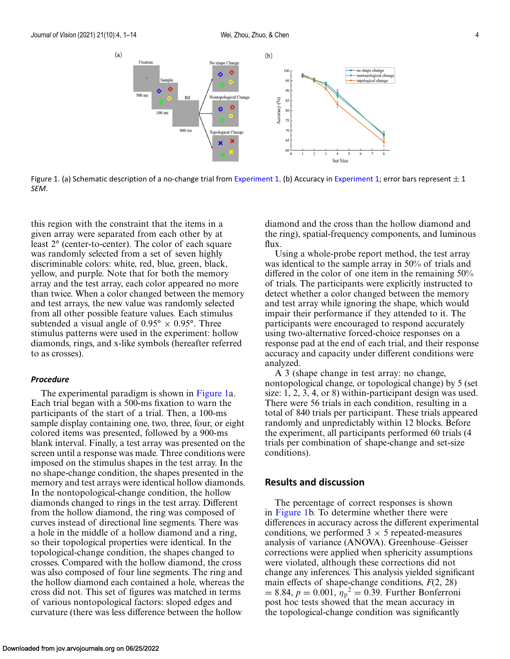

Figure 1. (a) Schematic description of a no-change trial from [Experiment 1.](#page-2-0) (b) Accuracy in [Experiment 1;](#page-2-0) error bars represent  $\pm 1$ *SEM*.

this region with the constraint that the items in a given array were separated from each other by at least 2° (center-to-center). The color of each square was randomly selected from a set of seven highly discriminable colors: white, red, blue, green, black, yellow, and purple. Note that for both the memory array and the test array, each color appeared no more than twice. When a color changed between the memory and test arrays, the new value was randomly selected from all other possible feature values. Each stimulus subtended a visual angle of  $0.95^{\circ} \times 0.95^{\circ}$ . Three stimulus patterns were used in the experiment: hollow diamonds, rings, and x-like symbols (hereafter referred to as crosses).

#### *Procedure*

The experimental paradigm is shown in Figure 1a. Each trial began with a 500-ms fixation to warn the participants of the start of a trial. Then, a 100-ms sample display containing one, two, three, four, or eight colored items was presented, followed by a 900-ms blank interval. Finally, a test array was presented on the screen until a response was made. Three conditions were imposed on the stimulus shapes in the test array. In the no shape-change condition, the shapes presented in the memory and test arrays were identical hollow diamonds. In the nontopological-change condition, the hollow diamonds changed to rings in the test array. Different from the hollow diamond, the ring was composed of curves instead of directional line segments. There was a hole in the middle of a hollow diamond and a ring, so their topological properties were identical. In the topological-change condition, the shapes changed to crosses. Compared with the hollow diamond, the cross was also composed of four line segments. The ring and the hollow diamond each contained a hole, whereas the cross did not. This set of figures was matched in terms of various nontopological factors: sloped edges and curvature (there was less difference between the hollow

diamond and the cross than the hollow diamond and the ring), spatial-frequency components, and luminous flux.

Using a whole-probe report method, the test array was identical to the sample array in 50% of trials and differed in the color of one item in the remaining 50% of trials. The participants were explicitly instructed to detect whether a color changed between the memory and test array while ignoring the shape, which would impair their performance if they attended to it. The participants were encouraged to respond accurately using two-alternative forced-choice responses on a response pad at the end of each trial, and their response accuracy and capacity under different conditions were analyzed.

A 3 (shape change in test array: no change, nontopological change, or topological change) by 5 (set size: 1, 2, 3, 4, or 8) within-participant design was used. There were 56 trials in each condition, resulting in a total of 840 trials per participant. These trials appeared randomly and unpredictably within 12 blocks. Before the experiment, all participants performed 60 trials (4 trials per combination of shape-change and set-size conditions).

### **Results and discussion**

The percentage of correct responses is shown in Figure 1b. To determine whether there were differences in accuracy across the different experimental conditions, we performed  $3 \times 5$  repeated-measures analysis of variance (ANOVA). Greenhouse–Geisser corrections were applied when sphericity assumptions were violated, although these corrections did not change any inferences. This analysis yielded significant main effects of shape-change conditions, *F*(2, 28)  $= 8.84, p = 0.001, \eta_p^2 = 0.39$ . Further Bonferroni post hoc tests showed that the mean accuracy in the topological-change condition was significantly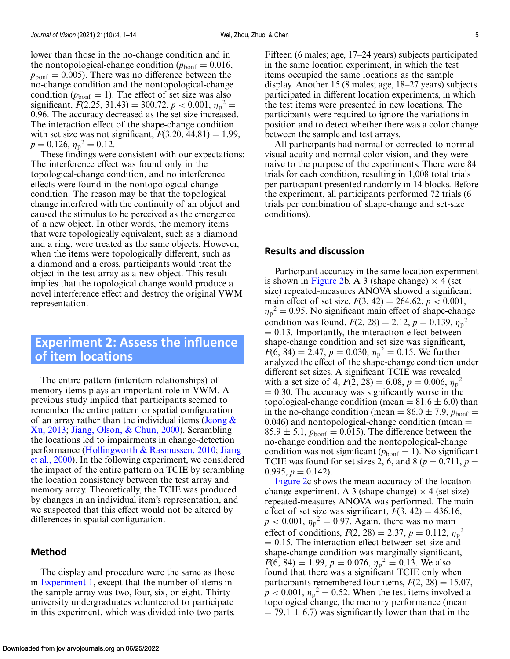<span id="page-4-0"></span>lower than those in the no-change condition and in the nontopological-change condition ( $p_{\text{bonf}} = 0.016$ ,  $p_{\text{bonf}} = 0.005$ . There was no difference between the no-change condition and the nontopological-change condition ( $p_{\text{bonf}} = 1$ ). The effect of set size was also significant,  $F(2.25, 31.43) = 300.72, p < 0.001, \eta_p^2 =$ 0.96. The accuracy decreased as the set size increased. The interaction effect of the shape-change condition with set size was not significant,  $F(3.20, 44.81) = 1.99$ ,  $p = 0.126$ ,  $\eta_p^2 = 0.12$ .

These findings were consistent with our expectations: The interference effect was found only in the topological-change condition, and no interference effects were found in the nontopological-change condition. The reason may be that the topological change interfered with the continuity of an object and caused the stimulus to be perceived as the emergence of a new object. In other words, the memory items that were topologically equivalent, such as a diamond and a ring, were treated as the same objects. However, when the items were topologically different, such as a diamond and a cross, participants would treat the object in the test array as a new object. This result implies that the topological change would produce a novel interference effect and destroy the original VWM representation.

## **Experiment 2: Assess the influence of item locations**

The entire pattern (interitem relationships) of memory items plays an important role in VWM. A previous study implied that participants seemed to remember the entire pattern or spatial configuration of an array rather than the individual items (Jeong  $\&$ Xu, 2013; [Jiang, Olson, & Chun, 2000\)](#page-12-0). Scrambling the locations led to impairments in change-detection performance [\(Hollingworth & Rasmussen, 2010;](#page-12-0) Jiang [et al., 2000\). In the following experiment, we considered](#page-12-0) the impact of the entire pattern on TCIE by scrambling the location consistency between the test array and memory array. Theoretically, the TCIE was produced by changes in an individual item's representation, and we suspected that this effect would not be altered by differences in spatial configuration.

### **Method**

The display and procedure were the same as those in [Experiment 1,](#page-2-0) except that the number of items in the sample array was two, four, six, or eight. Thirty university undergraduates volunteered to participate in this experiment, which was divided into two parts.

Fifteen (6 males; age, 17–24 years) subjects participated in the same location experiment, in which the test items occupied the same locations as the sample display. Another 15 (8 males; age, 18–27 years) subjects participated in different location experiments, in which the test items were presented in new locations. The participants were required to ignore the variations in position and to detect whether there was a color change between the sample and test arrays.

All participants had normal or corrected-to-normal visual acuity and normal color vision, and they were naive to the purpose of the experiments. There were 84 trials for each condition, resulting in 1,008 total trials per participant presented randomly in 14 blocks. Before the experiment, all participants performed 72 trials (6 trials per combination of shape-change and set-size conditions).

### **Results and discussion**

Participant accuracy in the same location experiment is shown in [Figure 2b](#page-5-0). A 3 (shape change)  $\times$  4 (set size) repeated-measures ANOVA showed a significant main effect of set size,  $F(3, 42) = 264.62$ ,  $p < 0.001$ ,  $\eta_p^2 = 0.95$ . No significant main effect of shape-change condition was found,  $F(2, 28) = 2.12$ ,  $p = 0.139$ ,  $\eta_p^2$  $= 0.13$ . Importantly, the interaction effect between shape-change condition and set size was significant,  $F(6, 84) = 2.47, p = 0.030, \eta_p^2 = 0.15$ . We further analyzed the effect of the shape-change condition under different set sizes. A significant TCIE was revealed with a set size of 4,  $F(2, 28) = 6.08$ ,  $p = 0.006$ ,  $\eta_p^2$  $= 0.30$ . The accuracy was significantly worse in the topological-change condition (mean =  $81.6 \pm 6.0$ ) than in the no-change condition (mean  $= 86.0 \pm 7.9$ ,  $p_{\text{bonf}} =$  $(0.046)$  and nontopological-change condition (mean  $=$  $85.9 \pm 5.1$ ,  $p_{\text{bonf}} = 0.015$ ). The difference between the no-change condition and the nontopological-change condition was not significant ( $p_{\text{bonf}} = 1$ ). No significant TCIE was found for set sizes 2, 6, and 8 ( $p = 0.711$ ,  $p =$ 0.995,  $p = 0.142$ ).

[Figure 2c](#page-5-0) shows the mean accuracy of the location change experiment. A 3 (shape change)  $\times$  4 (set size) repeated-measures ANOVA was performed. The main effect of set size was significant,  $F(3, 42) = 436.16$ ,  $p < 0.001$ ,  $\eta_p^2 = 0.97$ . Again, there was no main effect of conditions,  $F(2, 28) = 2.37$ ,  $p = 0.112$ ,  $\eta_p^2$  $= 0.15$ . The interaction effect between set size and shape-change condition was marginally significant,  $F(6, 84) = 1.99, p = 0.076, \eta_p^2 = 0.13$ . We also found that there was a significant TCIE only when participants remembered four items,  $F(2, 28) = 15.07$ ,  $p < 0.001$ ,  $\eta_p^2 = 0.52$ . When the test items involved a topological change, the memory performance (mean  $= 79.1 \pm 6.7$ ) was significantly lower than that in the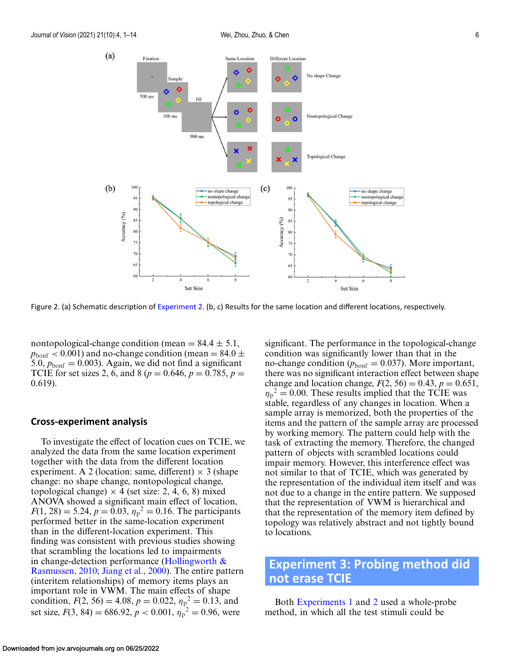<span id="page-5-0"></span>

Figure 2. (a) Schematic description of [Experiment 2.](#page-4-0) (b, c) Results for the same location and different locations, respectively.

nontopological-change condition (mean  $= 84.4 \pm 5.1$ ,  $p_{\text{bonf}} < 0.001$ ) and no-change condition (mean = 84.0  $\pm$ 5.0,  $p_{\text{bonf}} = 0.003$ . Again, we did not find a significant TCIE for set sizes 2, 6, and 8 ( $p = 0.646$ ,  $p = 0.785$ ,  $p =$ 0.619).

#### **Cross-experiment analysis**

To investigate the effect of location cues on TCIE, we analyzed the data from the same location experiment together with the data from the different location experiment. A 2 (location: same, different)  $\times$  3 (shape change: no shape change, nontopological change, topological change)  $\times$  4 (set size: 2, 4, 6, 8) mixed ANOVA showed a significant main effect of location,  $F(1, 28) = 5.24, p = 0.03, \eta_p^2 = 0.16$ . The participants performed better in the same-location experiment than in the different-location experiment. This finding was consistent with previous studies showing that scrambling the locations led to impairments in change-detection performance (Hollingworth  $\&$ Rasmussen, 2010; [Jiang et al., 2000\)](#page-12-0). The entire pattern (interitem relationships) of memory items plays an important role in VWM. The main effects of shape condition,  $F(2, 56) = 4.08$ ,  $p = 0.022$ ,  $\eta_{p}^{2} = 0.13$ , and set size,  $F(3, 84) = 686.92, p < 0.001, \eta_p^2 = 0.96$ , were

significant. The performance in the topological-change condition was significantly lower than that in the no-change condition ( $p_{\text{bonf}} = 0.037$ ). More important, there was no significant interaction effect between shape change and location change,  $F(2, 56) = 0.43$ ,  $p = 0.651$ ,  $\eta_p^2 = 0.00$ . These results implied that the TCIE was stable, regardless of any changes in location. When a sample array is memorized, both the properties of the items and the pattern of the sample array are processed by working memory. The pattern could help with the task of extracting the memory. Therefore, the changed pattern of objects with scrambled locations could impair memory. However, this interference effect was not similar to that of TCIE, which was generated by the representation of the individual item itself and was not due to a change in the entire pattern. We supposed that the representation of VWM is hierarchical and that the representation of the memory item defined by topology was relatively abstract and not tightly bound to locations.

# **Experiment 3: Probing method did not erase TCIE**

Both [Experiments 1](#page-2-0) and [2](#page-4-0) used a whole-probe method, in which all the test stimuli could be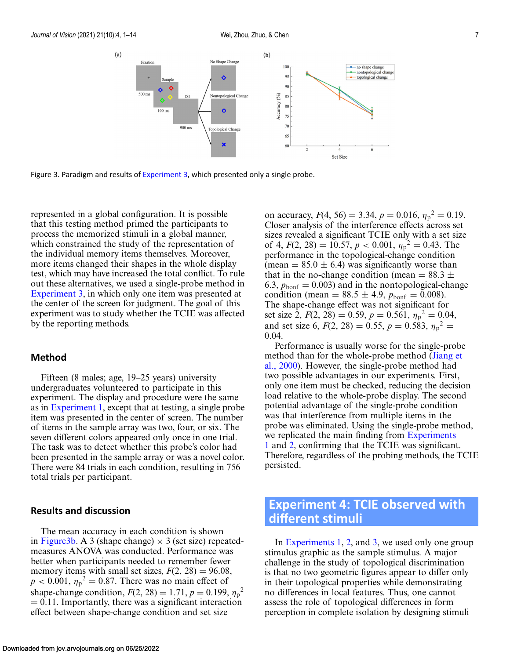<span id="page-6-0"></span>

Figure 3. Paradigm and results of [Experiment 3,](#page-5-0) which presented only a single probe.

represented in a global configuration. It is possible that this testing method primed the participants to process the memorized stimuli in a global manner, which constrained the study of the representation of the individual memory items themselves. Moreover, more items changed their shapes in the whole display test, which may have increased the total conflict. To rule out these alternatives, we used a single-probe method in [Experiment 3,](#page-5-0) in which only one item was presented at the center of the screen for judgment. The goal of this experiment was to study whether the TCIE was affected by the reporting methods.

### **Method**

Fifteen (8 males; age, 19–25 years) university undergraduates volunteered to participate in this experiment. The display and procedure were the same as in [Experiment 1,](#page-2-0) except that at testing, a single probe item was presented in the center of screen. The number of items in the sample array was two, four, or six. The seven different colors appeared only once in one trial. The task was to detect whether this probe's color had been presented in the sample array or was a novel color. There were 84 trials in each condition, resulting in 756 total trials per participant.

### **Results and discussion**

The mean accuracy in each condition is shown in Figure3b. A 3 (shape change)  $\times$  3 (set size) repeatedmeasures ANOVA was conducted. Performance was better when participants needed to remember fewer memory items with small set sizes,  $F(2, 28) = 96.08$ ,  $p < 0.001$ ,  $\eta_p^2 = 0.87$ . There was no main effect of shape-change condition,  $F(2, 28) = 1.71$ ,  $p = 0.199$ ,  ${\eta_p}^2$  $= 0.11$ . Importantly, there was a significant interaction effect between shape-change condition and set size

on accuracy,  $F(4, 56) = 3.34, p = 0.016, \eta_p^2 = 0.19.$ Closer analysis of the interference effects across set sizes revealed a significant TCIE only with a set size of 4,  $F(2, 28) = 10.57, p < 0.001, \eta_p^2 = 0.43$ . The performance in the topological-change condition (mean  $= 85.0 \pm 6.4$ ) was significantly worse than that in the no-change condition (mean  $= 88.3 \pm 1$ 6.3,  $p_{\text{bonf}} = 0.003$ ) and in the nontopological-change condition (mean =  $88.5 \pm 4.9$ ,  $p_{\text{bonf}} = 0.008$ ). The shape-change effect was not significant for set size 2,  $F(2, 28) = 0.59$ ,  $p = 0.561$ ,  $\eta_p^2 = 0.04$ , and set size 6,  $F(2, 28) = 0.55$ ,  $p = 0.583$ ,  $\eta_p^2 =$ 0.04.

Performance is usually worse for the single-probe [method than for the whole-probe method \(Jiang et](#page-12-0) al., 2000). However, the single-probe method had two possible advantages in our experiments. First, only one item must be checked, reducing the decision load relative to the whole-probe display. The second potential advantage of the single-probe condition was that interference from multiple items in the probe was eliminated. Using the single-probe method, we replicated the main finding from Experiments 1 and [2, confirming that the TCIE was significant](#page-2-0). Therefore, regardless of the probing methods, the TCIE persisted.

# **Experiment 4: TCIE observed with different stimuli**

In [Experiments 1,](#page-2-0) [2,](#page-4-0) and [3,](#page-5-0) we used only one group stimulus graphic as the sample stimulus. A major challenge in the study of topological discrimination is that no two geometric figures appear to differ only in their topological properties while demonstrating no differences in local features. Thus, one cannot assess the role of topological differences in form perception in complete isolation by designing stimuli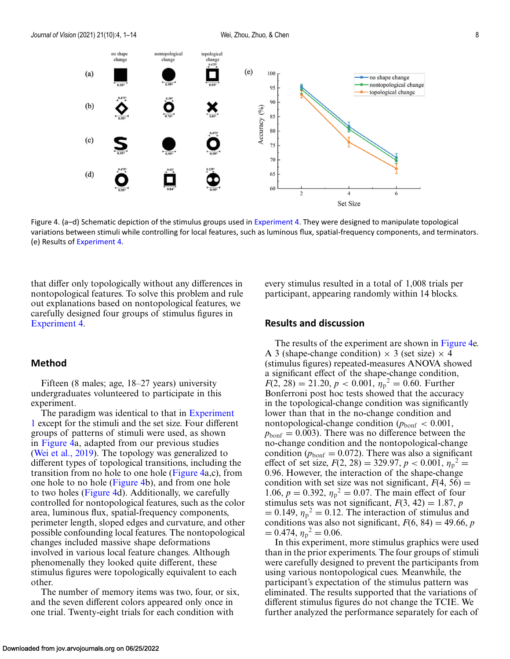

Figure 4. (a–d) Schematic depiction of the stimulus groups used in [Experiment 4.](#page-6-0) They were designed to manipulate topological variations between stimuli while controlling for local features, such as luminous flux, spatial-frequency components, and terminators. (e) Results of [Experiment 4.](#page-6-0)

that differ only topologically without any differences in nontopological features. To solve this problem and rule out explanations based on nontopological features, we carefully designed four groups of stimulus figures in [Experiment 4.](#page-6-0)

### **Method**

Fifteen (8 males; age, 18–27 years) university undergraduates volunteered to participate in this experiment.

The paradigm was identical to that in Experiment 1 [except for the stimuli and the set size. Four different](#page-2-0) groups of patterns of stimuli were used, as shown in Figure 4a, adapted from our previous studies [\(Wei et al., 2019\)](#page-13-0). The topology was generalized to different types of topological transitions, including the transition from no hole to one hole (Figure 4a,c), from one hole to no hole (Figure 4b), and from one hole to two holes (Figure 4d). Additionally, we carefully controlled for nontopological features, such as the color area, luminous flux, spatial-frequency components, perimeter length, sloped edges and curvature, and other possible confounding local features. The nontopological changes included massive shape deformations involved in various local feature changes. Although phenomenally they looked quite different, these stimulus figures were topologically equivalent to each other.

The number of memory items was two, four, or six, and the seven different colors appeared only once in one trial. Twenty-eight trials for each condition with

every stimulus resulted in a total of 1,008 trials per participant, appearing randomly within 14 blocks.

### **Results and discussion**

The results of the experiment are shown in Figure 4e. A 3 (shape-change condition)  $\times$  3 (set size)  $\times$  4 (stimulus figures) repeated-measures ANOVA showed a significant effect of the shape-change condition,  $F(2, 28) = 21.20, p < 0.001, \eta_p^2 = 0.60$ . Further Bonferroni post hoc tests showed that the accuracy in the topological-change condition was significantly lower than that in the no-change condition and nontopological-change condition ( $p_{\text{bonf}} < 0.001$ ,  $p_{\text{bonf}} = 0.003$ . There was no difference between the no-change condition and the nontopological-change condition ( $p_{\text{bonf}} = 0.072$ ). There was also a significant effect of set size,  $F(2, 28) = 329.97, p < 0.001, \eta_p^2 =$ 0.96. However, the interaction of the shape-change condition with set size was not significant,  $F(4, 56) =$ 1.06,  $p = 0.392$ ,  $\eta_p^2 = 0.07$ . The main effect of four stimulus sets was not significant,  $F(3, 42) = 1.87$ , *p*  $= 0.149, \eta_p^2 = 0.12$ . The interaction of stimulus and conditions was also not significant,  $F(6, 84) = 49.66$ , *p*  $= 0.474, \eta_p^2 = 0.06.$ 

In this experiment, more stimulus graphics were used than in the prior experiments. The four groups of stimuli were carefully designed to prevent the participants from using various nontopological cues. Meanwhile, the participant's expectation of the stimulus pattern was eliminated. The results supported that the variations of different stimulus figures do not change the TCIE. We further analyzed the performance separately for each of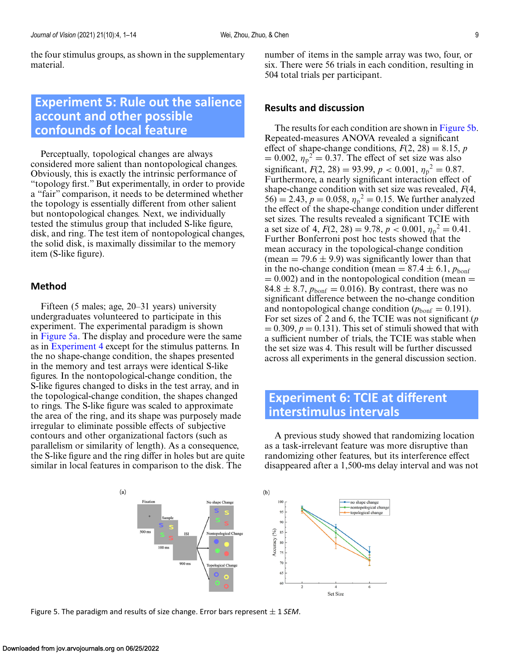<span id="page-8-0"></span>the four stimulus groups, as shown in the supplementary material.

# **Experiment 5: Rule out the salience account and other possible confounds of local feature**

Perceptually, topological changes are always considered more salient than nontopological changes. Obviously, this is exactly the intrinsic performance of "topology first." But experimentally, in order to provide a "fair" comparison, it needs to be determined whether the topology is essentially different from other salient but nontopological changes. Next, we individually tested the stimulus group that included S-like figure, disk, and ring. The test item of nontopological changes, the solid disk, is maximally dissimilar to the memory item (S-like figure).

### **Method**

Fifteen (5 males; age, 20–31 years) university undergraduates volunteered to participate in this experiment. The experimental paradigm is shown in Figure 5a. The display and procedure were the same as in [Experiment 4](#page-6-0) except for the stimulus patterns. In the no shape-change condition, the shapes presented in the memory and test arrays were identical S-like figures. In the nontopological-change condition, the S-like figures changed to disks in the test array, and in the topological-change condition, the shapes changed to rings. The S-like figure was scaled to approximate the area of the ring, and its shape was purposely made irregular to eliminate possible effects of subjective contours and other organizational factors (such as parallelism or similarity of length). As a consequence, the S-like figure and the ring differ in holes but are quite similar in local features in comparison to the disk. The

number of items in the sample array was two, four, or six. There were 56 trials in each condition, resulting in 504 total trials per participant.

### **Results and discussion**

The results for each condition are shown in Figure 5b. Repeated-measures ANOVA revealed a significant effect of shape-change conditions,  $F(2, 28) = 8.15$ , *p*  $= 0.002$ ,  $\eta_p^2 = 0.37$ . The effect of set size was also significant,  $F(2, 28) = 93.99, p < 0.001, \eta_p^2 = 0.87.$ Furthermore, a nearly significant interaction effect of shape-change condition with set size was revealed, *F*(4,  $(56) = 2.43, p = 0.058, \eta_p^2 = 0.15$ . We further analyzed the effect of the shape-change condition under different set sizes. The results revealed a significant TCIE with a set size of 4,  $F(2, 28) = 9.78$ ,  $p < 0.001$ ,  $\eta_p^2 = 0.41$ . Further Bonferroni post hoc tests showed that the mean accuracy in the topological-change condition (mean  $= 79.6 \pm 9.9$ ) was significantly lower than that in the no-change condition (mean  $= 87.4 \pm 6.1$ ,  $p_{\text{bonf}}$ )  $= 0.002$ ) and in the nontopological condition (mean  $=$  $84.8 \pm 8.7$ ,  $p_{\text{bonf}} = 0.016$ . By contrast, there was no significant difference between the no-change condition and nontopological change condition ( $p_{\text{bonf}} = 0.191$ ). For set sizes of 2 and 6, the TCIE was not significant (*p*  $= 0.309, p = 0.131$ . This set of stimuli showed that with a sufficient number of trials, the TCIE was stable when the set size was 4. This result will be further discussed across all experiments in the general discussion section.

## **Experiment 6: TCIE at different interstimulus intervals**

A previous study showed that randomizing location as a task-irrelevant feature was more disruptive than randomizing other features, but its interference effect disappeared after a 1,500-ms delay interval and was not



Figure 5. The paradigm and results of size change. Error bars represent  $\pm$  1 *SEM*.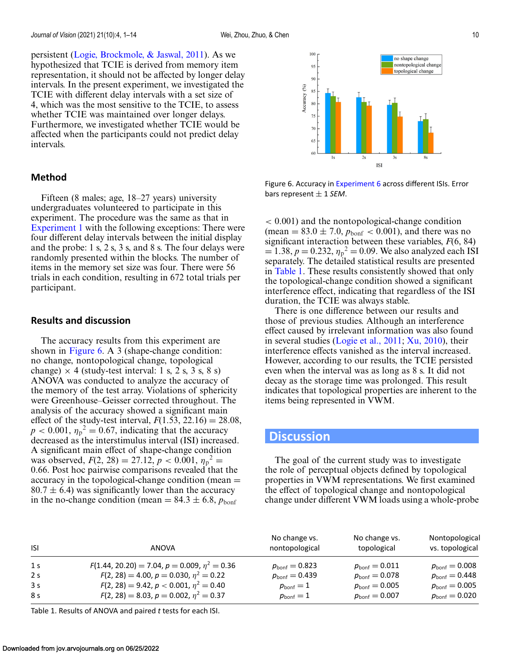persistent [\(Logie, Brockmole, & Jaswal, 2011\)](#page-12-0). As we hypothesized that TCIE is derived from memory item representation, it should not be affected by longer delay intervals. In the present experiment, we investigated the TCIE with different delay intervals with a set size of 4, which was the most sensitive to the TCIE, to assess whether TCIE was maintained over longer delays. Furthermore, we investigated whether TCIE would be affected when the participants could not predict delay intervals.

### **Method**

Fifteen (8 males; age, 18–27 years) university undergraduates volunteered to participate in this experiment. The procedure was the same as that in [Experiment 1](#page-2-0) with the following exceptions: There were four different delay intervals between the initial display and the probe: 1 s, 2 s, 3 s, and 8 s. The four delays were randomly presented within the blocks. The number of items in the memory set size was four. There were 56 trials in each condition, resulting in 672 total trials per participant.

### **Results and discussion**

The accuracy results from this experiment are shown in Figure 6. A 3 (shape-change condition: no change, nontopological change, topological change)  $\times$  4 (study-test interval: 1 s, 2 s, 3 s, 8 s) ANOVA was conducted to analyze the accuracy of the memory of the test array. Violations of sphericity were Greenhouse–Geisser corrected throughout. The analysis of the accuracy showed a significant main effect of the study-test interval,  $F(1.53, 22.16) = 28.08$ ,  $p < 0.001$ ,  $\eta_p^2 = 0.67$ , indicating that the accuracy decreased as the interstimulus interval (ISI) increased. A significant main effect of shape-change condition was observed,  $F(2, 28) = 27.12$ ,  $p < 0.001$ ,  $\eta_p^2 =$ 0.66. Post hoc pairwise comparisons revealed that the accuracy in the topological-change condition (mean =  $80.7 \pm 6.4$ ) was significantly lower than the accuracy in the no-change condition (mean  $= 84.3 \pm 6.8$ ,  $p_{\text{bonf}}$ )



Figure 6. Accuracy in [Experiment 6](#page-8-0) across different ISIs. Error bars represent <sup>±</sup> <sup>1</sup> *SEM*.

< 0.001) and the nontopological-change condition (mean =  $83.0 \pm 7.0$ ,  $p_{\text{bonf}} < 0.001$ ), and there was no significant interaction between these variables, *F*(6, 84)  $= 1.38, p = 0.232, \eta_p^2 = 0.09$ . We also analyzed each ISI separately. The detailed statistical results are presented in Table 1. These results consistently showed that only the topological-change condition showed a significant interference effect, indicating that regardless of the ISI duration, the TCIE was always stable.

There is one difference between our results and those of previous studies. Although an interference effect caused by irrelevant information was also found in several studies [\(Logie et al., 2011;](#page-12-0) [Xu, 2010\)](#page-13-0), their interference effects vanished as the interval increased. However, according to our results, the TCIE persisted even when the interval was as long as 8 s. It did not decay as the storage time was prolonged. This result indicates that topological properties are inherent to the items being represented in VWM.

### **Discussion**

The goal of the current study was to investigate the role of perceptual objects defined by topological properties in VWM representations. We first examined the effect of topological change and nontopological change under different VWM loads using a whole-probe

| <b>ISI</b>     | ANOVA                                             | No change vs.<br>nontopological | No change vs.<br>topological | Nontopological<br>vs. topological |
|----------------|---------------------------------------------------|---------------------------------|------------------------------|-----------------------------------|
| 1 <sub>s</sub> | $F(1.44, 20.20) = 7.04, p = 0.009, \eta^2 = 0.36$ | $p_{\rm{bonf}} = 0.823$         | $p_{\mathsf{bonf}} = 0.011$  | $p_{\sf bonf}=0.008$              |
| 2 <sub>s</sub> | $F(2, 28) = 4.00, p = 0.030, \eta^2 = 0.22$       | $p_{\mathsf{bonf}} = 0.439$     | $p_{\sf bonf}=0.078$         | $p_{\mathsf{bonf}} = 0.448$       |
| 3 <sub>s</sub> | $F(2, 28) = 9.42$ , $p < 0.001$ , $\eta^2 = 0.40$ | $p_{\text{bonf}} = 1$           | $p_{\mathsf{bonf}} = 0.005$  | $p_{\sf bonf}=0.005$              |
| 8 s            | $F(2, 28) = 8.03, p = 0.002, \eta^2 = 0.37$       | $p_{\text{bonf}} = 1$           | $p_{\mathsf{bonf}} = 0.007$  | $p_{\mathsf{bonf}} = 0.020$       |

Table 1. Results of ANOVA and paired *t* tests for each ISI.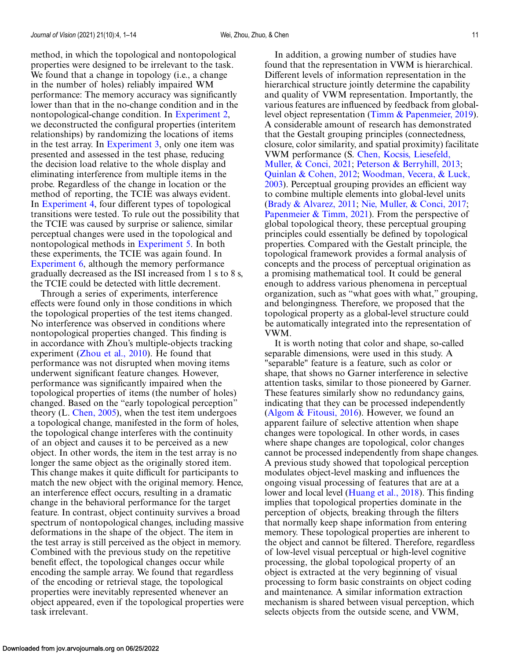method, in which the topological and nontopological properties were designed to be irrelevant to the task. We found that a change in topology (i.e., a change in the number of holes) reliably impaired WM performance: The memory accuracy was significantly lower than that in the no-change condition and in the nontopological-change condition. In [Experiment 2,](#page-4-0) we deconstructed the configural properties (interitem relationships) by randomizing the locations of items in the test array. In [Experiment 3,](#page-5-0) only one item was presented and assessed in the test phase, reducing the decision load relative to the whole display and eliminating interference from multiple items in the probe. Regardless of the change in location or the method of reporting, the TCIE was always evident. In [Experiment 4,](#page-6-0) four different types of topological transitions were tested. To rule out the possibility that the TCIE was caused by surprise or salience, similar perceptual changes were used in the topological and nontopological methods in [Experiment 5.](#page-8-0) In both these experiments, the TCIE was again found. In [Experiment 6,](#page-8-0) although the memory performance gradually decreased as the ISI increased from 1 s to 8 s, the TCIE could be detected with little decrement.

Through a series of experiments, interference effects were found only in those conditions in which the topological properties of the test items changed. No interference was observed in conditions where nontopological properties changed. This finding is in accordance with Zhou's multiple-objects tracking experiment [\(Zhou et al., 2010\)](#page-13-0). He found that performance was not disrupted when moving items underwent significant feature changes. However, performance was significantly impaired when the topological properties of items (the number of holes) changed. Based on the "early topological perception" theory (L. Chen,  $2005$ ), when the test item undergoes a topological change, manifested in the form of holes, the topological change interferes with the continuity of an object and causes it to be perceived as a new object. In other words, the item in the test array is no longer the same object as the originally stored item. This change makes it quite difficult for participants to match the new object with the original memory. Hence, an interference effect occurs, resulting in a dramatic change in the behavioral performance for the target feature. In contrast, object continuity survives a broad spectrum of nontopological changes, including massive deformations in the shape of the object. The item in the test array is still perceived as the object in memory. Combined with the previous study on the repetitive benefit effect, the topological changes occur while encoding the sample array. We found that regardless of the encoding or retrieval stage, the topological properties were inevitably represented whenever an object appeared, even if the topological properties were task irrelevant.

In addition, a growing number of studies have found that the representation in VWM is hierarchical. Different levels of information representation in the hierarchical structure jointly determine the capability and quality of VWM representation. Importantly, the various features are influenced by feedback from globallevel object representation [\(Timm & Papenmeier, 2019\)](#page-13-0). A considerable amount of research has demonstrated that the Gestalt grouping principles (connectedness, closure, color similarity, and spatial proximity) facilitate VWM performance (S. Chen, Kocsis, Liesefeld, Muller, & Conci, 2021; [Peterson & Berryhill, 20](#page-12-0)[13;](#page-13-0) [Quinlan & Cohen, 2012;](#page-13-0) Woodman, Vecera, & Luck, [2003\). Perceptual grouping provides an efficient way](#page-13-0) to combine multiple elements into global-level units [\(Brady & Alvarez, 2011;](#page-12-0) [Nie, Muller, & Conci, 2017;](#page-13-0) [Papenmeier & Timm, 2021\)](#page-13-0). From the perspective of global topological theory, these perceptual grouping principles could essentially be defined by topological properties. Compared with the Gestalt principle, the topological framework provides a formal analysis of concepts and the process of perceptual origination as a promising mathematical tool. It could be general enough to address various phenomena in perceptual organization, such as "what goes with what," grouping, and belongingness. Therefore, we proposed that the topological property as a global-level structure could be automatically integrated into the representation of VWM.

It is worth noting that color and shape, so-called separable dimensions, were used in this study. A "separable" feature is a feature, such as color or shape, that shows no Garner interference in selective attention tasks, similar to those pioneered by Garner. These features similarly show no redundancy gains, indicating that they can be processed independently [\(Algom & Fitousi, 2016\)](#page-11-0). However, we found an apparent failure of selective attention when shape changes were topological. In other words, in cases where shape changes are topological, color changes cannot be processed independently from shape changes. A previous study showed that topological perception modulates object-level masking and influences the ongoing visual processing of features that are at a lower and local level [\(Huang et al., 2018\)](#page-12-0). This finding implies that topological properties dominate in the perception of objects, breaking through the filters that normally keep shape information from entering memory. These topological properties are inherent to the object and cannot be filtered. Therefore, regardless of low-level visual perceptual or high-level cognitive processing, the global topological property of an object is extracted at the very beginning of visual processing to form basic constraints on object coding and maintenance. A similar information extraction mechanism is shared between visual perception, which selects objects from the outside scene, and VWM,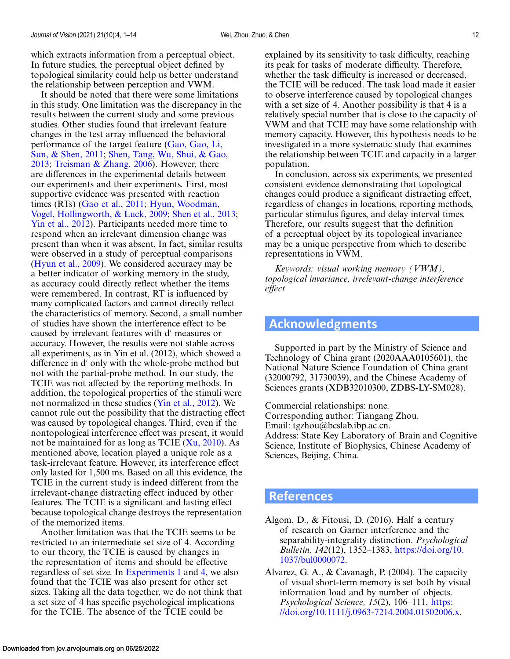<span id="page-11-0"></span>which extracts information from a perceptual object. In future studies, the perceptual object defined by topological similarity could help us better understand the relationship between perception and VWM.

It should be noted that there were some limitations in this study. One limitation was the discrepancy in the results between the current study and some previous studies. Other studies found that irrelevant feature changes in the test array influenced the behavioral [performance of the target feature \(Gao, Gao, Li,](#page-12-0) Sun, & Shen, 2011; Shen, Tang, Wu, Shui, & Gao, 2013; [Treisman & Zhang, 2006\). However, there](#page-13-0) are differences in the experimental details between our experiments and their experiments. First, most supportive evidence was presented with reaction times (RTs) [\(Gao et al., 2011;](#page-12-0) Hyun, Woodman, [Vogel, Hollingworth, & Luck, 2009;](#page-12-0) [Shen et al., 2013;](#page-13-0) [Yin et al., 2012\)](#page-13-0). Participants needed more time to respond when an irrelevant dimension change was present than when it was absent. In fact, similar results were observed in a study of perceptual comparisons [\(Hyun et al., 2009\)](#page-12-0). We considered accuracy may be a better indicator of working memory in the study, as accuracy could directly reflect whether the items were remembered. In contrast, RT is influenced by many complicated factors and cannot directly reflect the characteristics of memory. Second, a small number of studies have shown the interference effect to be caused by irrelevant features with d' measures or accuracy. However, the results were not stable across all experiments, as in Yin et al. (2012), which showed a difference in d' only with the whole-probe method but not with the partial-probe method. In our study, the TCIE was not affected by the reporting methods. In addition, the topological properties of the stimuli were not normalized in these studies [\(Yin et al., 2012\)](#page-13-0). We cannot rule out the possibility that the distracting effect was caused by topological changes. Third, even if the nontopological interference effect was present, it would not be maintained for as long as TCIE  $(X<sub>u</sub>, 2010)$ . As mentioned above, location played a unique role as a task-irrelevant feature. However, its interference effect only lasted for 1,500 ms. Based on all this evidence, the TCIE in the current study is indeed different from the irrelevant-change distracting effect induced by other features. The TCIE is a significant and lasting effect because topological change destroys the representation of the memorized items.

Another limitation was that the TCIE seems to be restricted to an intermediate set size of 4. According to our theory, the TCIE is caused by changes in the representation of items and should be effective regardless of set size. In [Experiments 1](#page-2-0) and [4,](#page-6-0) we also found that the TCIE was also present for other set sizes. Taking all the data together, we do not think that a set size of 4 has specific psychological implications for the TCIE. The absence of the TCIE could be

explained by its sensitivity to task difficulty, reaching its peak for tasks of moderate difficulty. Therefore, whether the task difficulty is increased or decreased, the TCIE will be reduced. The task load made it easier to observe interference caused by topological changes with a set size of 4. Another possibility is that 4 is a relatively special number that is close to the capacity of VWM and that TCIE may have some relationship with memory capacity. However, this hypothesis needs to be investigated in a more systematic study that examines the relationship between TCIE and capacity in a larger population.

In conclusion, across six experiments, we presented consistent evidence demonstrating that topological changes could produce a significant distracting effect, regardless of changes in locations, reporting methods, particular stimulus figures, and delay interval times. Therefore, our results suggest that the definition of a perceptual object by its topological invariance may be a unique perspective from which to describe representations in VWM.

*Keywords: visual working memory (VWM), topological invariance, irrelevant-change interference effect*

## **Acknowledgments**

Supported in part by the Ministry of Science and Technology of China grant (2020AAA0105601), the National Nature Science Foundation of China grant (32000792, 31730039), and the Chinese Academy of Sciences grants (XDB32010300, ZDBS-LY-SM028).

Commercial relationships: none.

Corresponding author: Tiangang Zhou.

Email: tgzhou@bcslab.ibp.ac.cn.

Address: State Key Laboratory of Brain and Cognitive Science, Institute of Biophysics, Chinese Academy of Sciences, Beijing, China.

### **References**

- Algom, D., & Fitousi, D. (2016). Half a century of research on Garner interference and the separability-integrality distinction. *Psychological Bulletin, 142*(12), 1352–1383, [https://doi.org/10.](https://doi.org/10.1037/bul0000072) 1037/bul0000072.
- Alvarez, G. A., & Cavanagh, P. (2004). The capacity of visual short-term memory is set both by visual information load and by number of objects. *Psychological Science, 15*(2), 106–111, https: [//doi.org/10.1111/j.0963-7214.2004.01502006.x.](https://doi.org/10.1111/j.0963-7214.2004.01502006.x)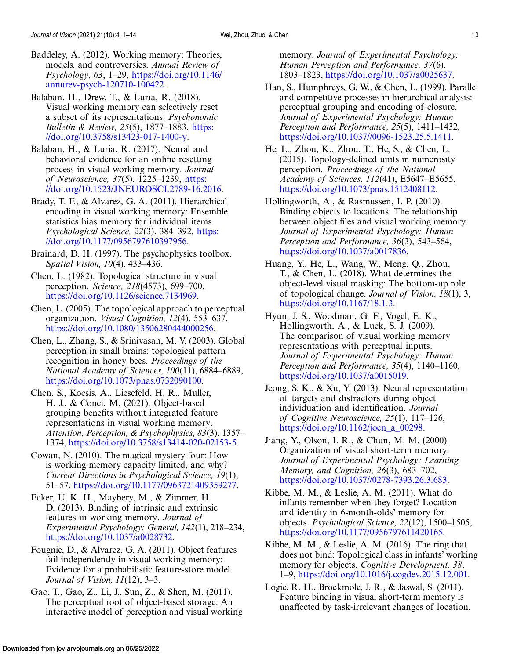- <span id="page-12-0"></span>Baddeley, A. (2012). Working memory: Theories, models, and controversies. *Annual Review of Psychology, 63*, 1–29, https://doi.org/10.1146/ [annurev-psych-120710-100422.](https://doi.org/10.1146/annurev-psych-120710-100422)
- Balaban, H., Drew, T., & Luria, R. (2018). Visual working memory can selectively reset a subset of its representations. *Psychonomic Bulletin & Review, 25*(5), 1877–1883, https: [//doi.org/10.3758/s13423-017-1400-y.](https://doi.org/10.3758/s13423-017-1400-y)
- Balaban, H., & Luria, R. (2017). Neural and behavioral evidence for an online resetting process in visual working memory. *Journal of Neuroscience, 37(5), 1225–1239, https:* [//doi.org/10.1523/JNEUROSCI.2789-16.2016.](https://doi.org/10.1523/JNEUROSCI.2789-16.2016)
- Brady, T. F., & Alvarez, G. A. (2011). Hierarchical encoding in visual working memory: Ensemble statistics bias memory for individual items. *Psychological Science, 22*(3), 384–392, https: [//doi.org/10.1177/0956797610397956.](https://doi.org/10.1177/0956797610397956)
- Brainard, D. H. (1997). The psychophysics toolbox. *Spatial Vision, 10*(4), 433–436.
- Chen, L. (1982). Topological structure in visual perception. *Science, 218*(4573), 699–700, [https://doi.org/10.1126/science.7134969.](https://doi.org/10.1126/science.7134969)
- Chen, L. (2005). The topological approach to perceptual organization. *Visual Cognition, 12*(4), 553–637, [https://doi.org/10.1080/13506280444000256.](https://doi.org/10.1080/13506280444000256)
- Chen, L., Zhang, S., & Srinivasan, M. V. (2003). Global perception in small brains: topological pattern recognition in honey bees. *Proceedings of the National Academy of Sciences, 100*(11), 6884–6889, [https://doi.org/10.1073/pnas.0732090100.](https://doi.org/10.1073/pnas.0732090100)
- Chen, S., Kocsis, A., Liesefeld, H. R., Muller, H. J., & Conci, M. (2021). Object-based grouping benefits without integrated feature representations in visual working memory. *Attention, Perception, & Psychophysics, 83*(3), 1357– 1374, [https://doi.org/10.3758/s13414-020-02153-5.](https://doi.org/10.3758/s13414-020-02153-5)
- Cowan, N. (2010). The magical mystery four: How is working memory capacity limited, and why? *Current Directions in Psychological Science, 19*(1), 51–57, [https://doi.org/10.1177/0963721409359277.](https://doi.org/10.1177/0963721409359277)
- Ecker, U. K. H., Maybery, M., & Zimmer, H. D. (2013). Binding of intrinsic and extrinsic features in working memory. *Journal of Experimental Psychology: General, 142*(1), 218–234, [https://doi.org/10.1037/a0028732.](https://doi.org/10.1037/a0028732)
- Fougnie, D., & Alvarez, G. A. (2011). Object features fail independently in visual working memory: Evidence for a probabilistic feature-store model. *Journal of Vision, 11*(12), 3–3.
- Gao, T., Gao, Z., Li, J., Sun, Z., & Shen, M. (2011). The perceptual root of object-based storage: An interactive model of perception and visual working

memory. *Journal of Experimental Psychology: Human Perception and Performance, 37*(6), 1803–1823, [https://doi.org/10.1037/a0025637.](https://doi.org/10.1037/a0025637)

- Han, S., Humphreys, G. W., & Chen, L. (1999). Parallel and competitive processes in hierarchical analysis: perceptual grouping and encoding of closure. *Journal of Experimental Psychology: Human Perception and Performance, 25*(5), 1411–1432, [https://doi.org/10.1037//0096-1523.25.5.1411.](https://doi.org/10.1037//0096-1523.25.5.1411)
- He, L., Zhou, K., Zhou, T., He, S., & Chen, L. (2015). Topology-defined units in numerosity perception. *Proceedings of the National Academy of Sciences, 112*(41), E5647–E5655, [https://doi.org/10.1073/pnas.1512408112.](https://doi.org/10.1073/pnas.1512408112)
- Hollingworth, A., & Rasmussen, I. P. (2010). Binding objects to locations: The relationship between object files and visual working memory. *Journal of Experimental Psychology: Human Perception and Performance, 36*(3), 543–564, [https://doi.org/10.1037/a0017836.](https://doi.org/10.1037/a0017836)
- Huang, Y., He, L., Wang, W., Meng, Q., Zhou, T., & Chen, L. (2018). What determines the object-level visual masking: The bottom-up role of topological change. *Journal of Vision, 18*(1), 3, [https://doi.org/10.1167/18.1.3.](https://doi.org/10.1167/18.1.3)
- Hyun, J. S., Woodman, G. F., Vogel, E. K., Hollingworth, A., & Luck, S. J. (2009). The comparison of visual working memory representations with perceptual inputs. *Journal of Experimental Psychology: Human Perception and Performance, 35*(4), 1140–1160, [https://doi.org/10.1037/a0015019.](https://doi.org/10.1037/a0015019)
- Jeong, S. K., & Xu, Y. (2013). Neural representation of targets and distractors during object individuation and identification. *Journal of Cognitive Neuroscience, 25*(1), 117–126, [https://doi.org/10.1162/jocn\\_a\\_00298.](https://doi.org/10.1162/jocn10a1000298)
- Jiang, Y., Olson, I. R., & Chun, M. M. (2000). Organization of visual short-term memory. *Journal of Experimental Psychology: Learning, Memory, and Cognition, 26*(3), 683–702, [https://doi.org/10.1037//0278-7393.26.3.683.](https://doi.org/10.1037//0278-7393.26.3.683)
- Kibbe, M. M., & Leslie, A. M. (2011). What do infants remember when they forget? Location and identity in 6-month-olds' memory for objects. *Psychological Science, 22*(12), 1500–1505, [https://doi.org/10.1177/0956797611420165.](https://doi.org/10.1177/0956797611420165)
- Kibbe, M. M., & Leslie, A. M. (2016). The ring that does not bind: Topological class in infants' working memory for objects. *Cognitive Development, 38*, 1–9, [https://doi.org/10.1016/j.cogdev.2015.12.001.](https://doi.org/10.1016/j.cogdev.2015.12.001)
- Logie, R. H., Brockmole, J. R., & Jaswal, S. (2011). Feature binding in visual short-term memory is unaffected by task-irrelevant changes of location,